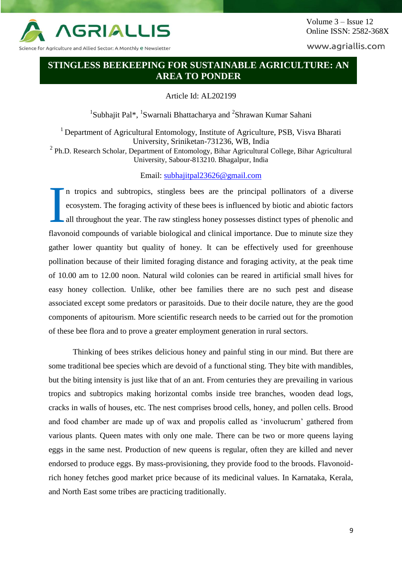

Science for Agriculture and Allied Sector: A Monthly e Newsletter

www.agriallis.com

## **STINGLESS BEEKEEPING FOR SUSTAINABLE AGRICULTURE: AN AREA TO PONDER**

Article Id: AL202199

<sup>1</sup>Subhajit Pal<sup>\*</sup>, <sup>1</sup>Swarnali Bhattacharya and <sup>2</sup>Shrawan Kumar Sahani

<sup>1</sup> Department of Agricultural Entomology, Institute of Agriculture, PSB, Visva Bharati University, Sriniketan-731236, WB, India <sup>2</sup> Ph.D. Research Scholar, Department of Entomology, Bihar Agricultural College, Bihar Agricultural University, Sabour-813210. Bhagalpur, India

Email: [subhajitpal23626@gmail.com](mailto:subhajitpal23626@gmail.com)

n tropics and subtropics, stingless bees are the principal pollinators of a diverse ecosystem. The foraging activity of these bees is influenced by biotic and abiotic factors all throughout the year. The raw stingless honey possesses distinct types of phenolic and flavonoid compounds of variable biological and clinical importance. Due to minute size they gather lower quantity but quality of honey. It can be effectively used for greenhouse pollination because of their limited foraging distance and foraging activity, at the peak time of 10.00 am to 12.00 noon. Natural wild colonies can be reared in artificial small hives for easy honey collection. Unlike, other bee families there are no such pest and disease associated except some predators or parasitoids. Due to their docile nature, they are the good components of apitourism. More scientific research needs to be carried out for the promotion of these bee flora and to prove a greater employment generation in rural sectors. I

Thinking of bees strikes delicious honey and painful sting in our mind. But there are some traditional bee species which are devoid of a functional sting. They bite with mandibles, but the biting intensity is just like that of an ant. From centuries they are prevailing in various tropics and subtropics making horizontal combs inside tree branches, wooden dead logs, cracks in walls of houses, etc. The nest comprises brood cells, honey, and pollen cells. Brood and food chamber are made up of wax and propolis called as 'involucrum' gathered from various plants. Queen mates with only one male. There can be two or more queens laying eggs in the same nest. Production of new queens is regular, often they are killed and never endorsed to produce eggs. By mass-provisioning, they provide food to the broods. Flavonoidrich honey fetches good market price because of its medicinal values. In Karnataka, Kerala, and North East some tribes are practicing traditionally.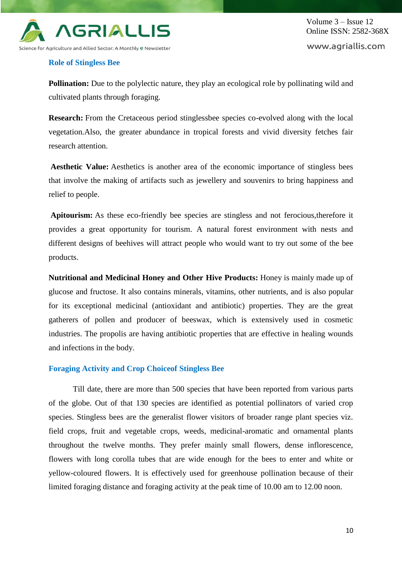

### **Role of Stingless Bee**

**Pollination:** Due to the polylectic nature, they play an ecological role by pollinating wild and cultivated plants through foraging.

**Research:** From the Cretaceous period stinglessbee species co-evolved along with the local vegetation.Also, the greater abundance in tropical forests and vivid diversity fetches fair research attention.

**Aesthetic Value:** Aesthetics is another area of the economic importance of stingless bees that involve the making of artifacts such as jewellery and souvenirs to bring happiness and relief to people.

**Apitourism:** As these eco-friendly bee species are stingless and not ferocious,therefore it provides a great opportunity for tourism. A natural forest environment with nests and different designs of beehives will attract people who would want to try out some of the bee products.

**Nutritional and Medicinal Honey and Other Hive Products:** Honey is mainly made up of glucose and fructose. It also contains minerals, vitamins, other nutrients, and is also popular for its exceptional medicinal (antioxidant and antibiotic) properties. They are the great gatherers of pollen and producer of beeswax, which is extensively used in cosmetic industries. The propolis are having antibiotic properties that are effective in healing wounds and infections in the body.

### **Foraging Activity and Crop Choiceof Stingless Bee**

Till date, there are more than 500 species that have been reported from various parts of the globe. Out of that 130 species are identified as potential pollinators of varied crop species. Stingless bees are the generalist flower visitors of broader range plant species viz. field crops, fruit and vegetable crops, weeds, medicinal-aromatic and ornamental plants throughout the twelve months. They prefer mainly small flowers, dense inflorescence, flowers with long corolla tubes that are wide enough for the bees to enter and white or yellow-coloured flowers. It is effectively used for greenhouse pollination because of their limited foraging distance and foraging activity at the peak time of 10.00 am to 12.00 noon.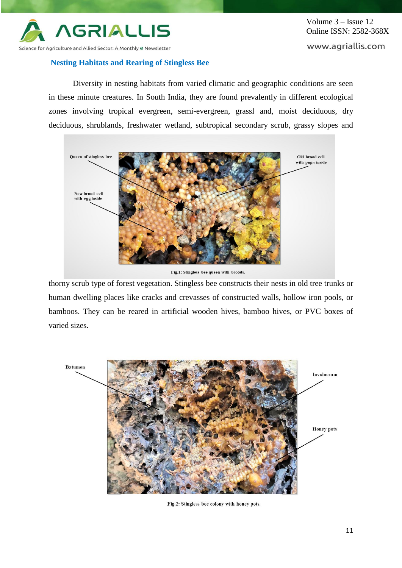

# **Nesting Habitats and Rearing of Stingless Bee**

www.agriallis.com

Diversity in nesting habitats from varied climatic and geographic conditions are seen in these minute creatures. In South India, they are found prevalently in different ecological zones involving tropical evergreen, semi-evergreen, grassl and, moist deciduous, dry deciduous, shrublands, freshwater wetland, subtropical secondary scrub, grassy slopes and



Fig.1: Stingless bee queen with broods.

thorny scrub type of forest vegetation. Stingless bee constructs their nests in old tree trunks or human dwelling places like cracks and crevasses of constructed walls, hollow iron pools, or bamboos. They can be reared in artificial wooden hives, bamboo hives, or PVC boxes of varied sizes.



Fig.2: Stingless bee colony with honey pots.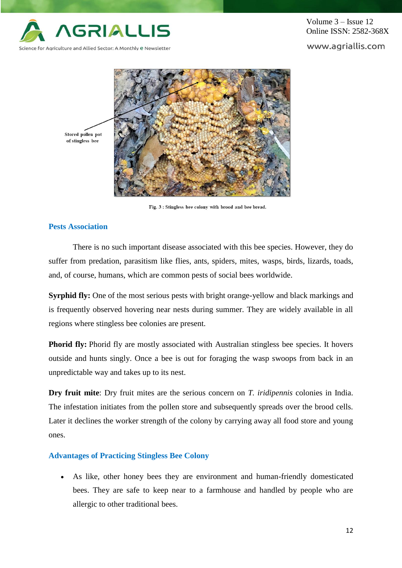

www.agriallis.com



Fig. 3 : Stingless bee colony with brood and bee bread.

### **Pests Association**

There is no such important disease associated with this bee species. However, they do suffer from predation, parasitism like flies, ants, spiders, mites, wasps, birds, lizards, toads, and, of course, humans, which are common pests of social bees worldwide.

**Syrphid fly:** One of the most serious pests with bright orange-yellow and black markings and is frequently observed hovering near nests during summer. They are widely available in all regions where stingless bee colonies are present.

**Phorid fly:** Phorid fly are mostly associated with Australian stingless bee species. It hovers outside and hunts singly. Once a bee is out for foraging the wasp swoops from back in an unpredictable way and takes up to its nest.

**Dry fruit mite**: Dry fruit mites are the serious concern on *T. iridipennis* colonies in India. The infestation initiates from the pollen store and subsequently spreads over the brood cells. Later it declines the worker strength of the colony by carrying away all food store and young ones.

### **Advantages of Practicing Stingless Bee Colony**

 As like, other honey bees they are environment and human-friendly domesticated bees. They are safe to keep near to a farmhouse and handled by people who are allergic to other traditional bees.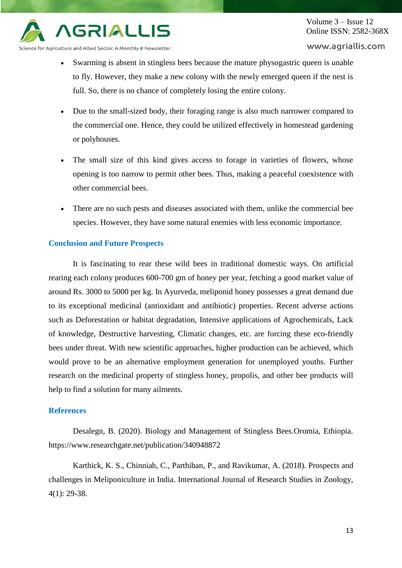

www.agriallis.com

Science for Agriculture and Allied Sector: A Monthly e Newsletter

- Swarming is absent in stingless bees because the mature physogastric queen is unable to fly. However, they make a new colony with the newly emerged queen if the nest is full. So, there is no chance of completely losing the entire colony.
- Due to the small-sized body, their foraging range is also much narrower compared to the commercial one. Hence, they could be utilized effectively in homestead gardening or polyhouses.
- The small size of this kind gives access to forage in varieties of flowers, whose opening is too narrow to permit other bees. Thus, making a peaceful coexistence with other commercial bees.
- There are no such pests and diseases associated with them, unlike the commercial bee species. However, they have some natural enemies with less economic importance.

### **Conclusion and Future Prospects**

It is fascinating to rear these wild bees in traditional domestic ways. On artificial rearing each colony produces 600-700 gm of honey per year, fetching a good market value of around Rs. 3000 to 5000 per kg. In Ayurveda, meliponid honey possesses a great demand due to its exceptional medicinal (antioxidant and antibiotic) properties. Recent adverse actions such as Deforestation or habitat degradation, Intensive applications of Agrochemicals, Lack of knowledge, Destructive harvesting, Climatic changes, etc. are forcing these eco-friendly bees under threat. With new scientific approaches, higher production can be achieved, which would prove to be an alternative employment generation for unemployed youths. Further research on the medicinal property of stingless honey, propolis, and other bee products will help to find a solution for many ailments.

### **References**

Desalegn, B. (2020). Biology and Management of Stingless Bees.Oromia, Ethiopia. https://www.researchgate.net/publication/340948872

Karthick, K. S., Chinniah, C., Parthiban, P., and Ravikumar, A. (2018). Prospects and challenges in Meliponiculture in India. International Journal of Research Studies in Zoology, 4(1): 29-38.